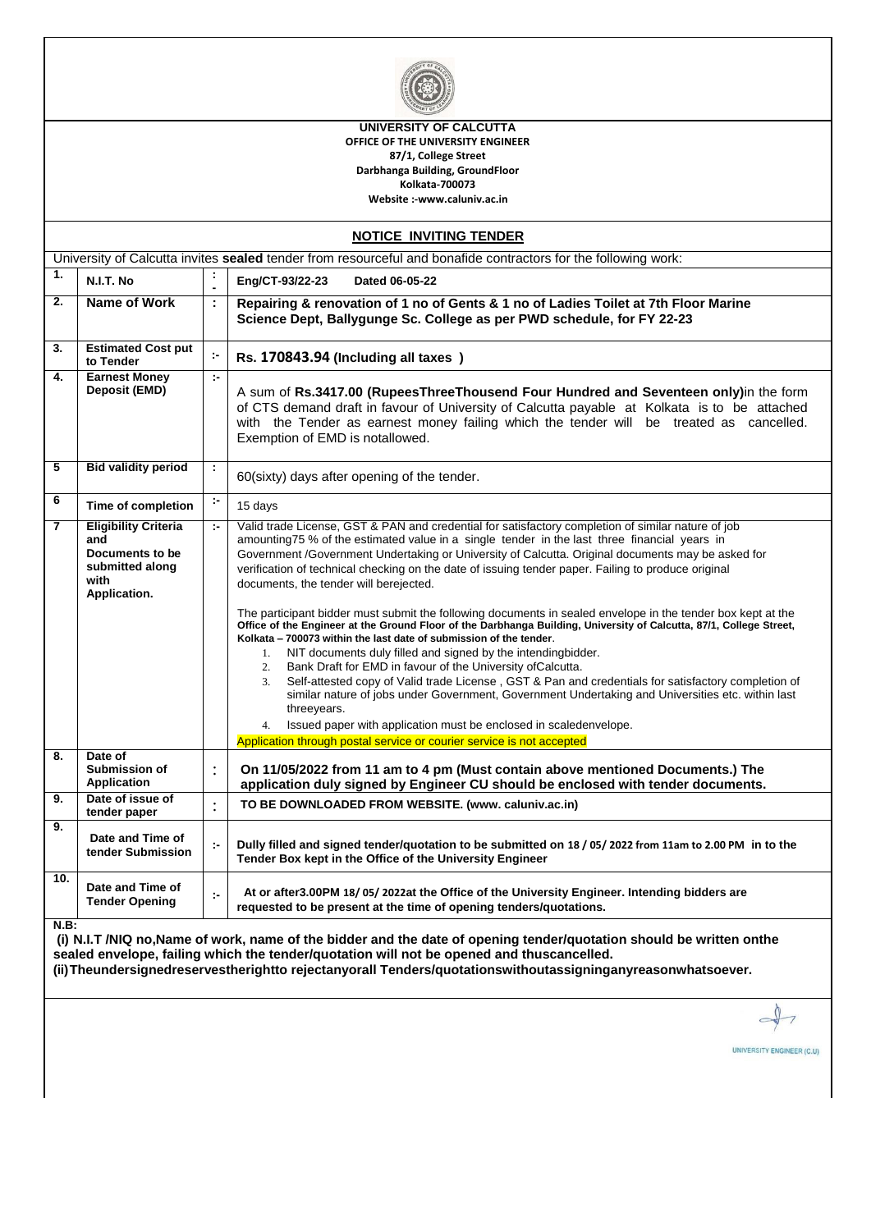

**UNIVERSITY OF CALCUTTA OFFICE OF THE UNIVERSITY ENGINEER 87/1, College Street Darbhanga Building, GroundFloor Kolkata-700073 Website :-www.caluniv.ac.in**

| <b>NOTICE INVITING TENDER</b>                                                                                  |                                                                                                                                                                                                                   |                       |                                                                                                                                                                                                                                                                                                                                                                                                                                                                                                                                                                                                                                                                                                                                                                                                                                                                                                                                                                                                                                                                                                                                                                                                                                                                                                       |  |  |  |  |
|----------------------------------------------------------------------------------------------------------------|-------------------------------------------------------------------------------------------------------------------------------------------------------------------------------------------------------------------|-----------------------|-------------------------------------------------------------------------------------------------------------------------------------------------------------------------------------------------------------------------------------------------------------------------------------------------------------------------------------------------------------------------------------------------------------------------------------------------------------------------------------------------------------------------------------------------------------------------------------------------------------------------------------------------------------------------------------------------------------------------------------------------------------------------------------------------------------------------------------------------------------------------------------------------------------------------------------------------------------------------------------------------------------------------------------------------------------------------------------------------------------------------------------------------------------------------------------------------------------------------------------------------------------------------------------------------------|--|--|--|--|
| University of Calcutta invites sealed tender from resourceful and bonafide contractors for the following work: |                                                                                                                                                                                                                   |                       |                                                                                                                                                                                                                                                                                                                                                                                                                                                                                                                                                                                                                                                                                                                                                                                                                                                                                                                                                                                                                                                                                                                                                                                                                                                                                                       |  |  |  |  |
| 1.                                                                                                             | N.I.T. No                                                                                                                                                                                                         |                       | Eng/CT-93/22-23<br>Dated 06-05-22                                                                                                                                                                                                                                                                                                                                                                                                                                                                                                                                                                                                                                                                                                                                                                                                                                                                                                                                                                                                                                                                                                                                                                                                                                                                     |  |  |  |  |
| 2.                                                                                                             | Name of Work                                                                                                                                                                                                      | ÷                     | Repairing & renovation of 1 no of Gents & 1 no of Ladies Toilet at 7th Floor Marine<br>Science Dept, Ballygunge Sc. College as per PWD schedule, for FY 22-23                                                                                                                                                                                                                                                                                                                                                                                                                                                                                                                                                                                                                                                                                                                                                                                                                                                                                                                                                                                                                                                                                                                                         |  |  |  |  |
| 3.                                                                                                             | <b>Estimated Cost put</b><br>to Tender                                                                                                                                                                            | ţ.                    | Rs. 170843.94 (Including all taxes)                                                                                                                                                                                                                                                                                                                                                                                                                                                                                                                                                                                                                                                                                                                                                                                                                                                                                                                                                                                                                                                                                                                                                                                                                                                                   |  |  |  |  |
| 4.                                                                                                             | <b>Earnest Money</b><br>Deposit (EMD)                                                                                                                                                                             | $\mathbb{R}^2$        | A sum of Rs.3417.00 (RupeesThreeThousend Four Hundred and Seventeen only)in the form<br>of CTS demand draft in favour of University of Calcutta payable at Kolkata is to be attached<br>with the Tender as earnest money failing which the tender will be treated as cancelled.<br>Exemption of EMD is notallowed.                                                                                                                                                                                                                                                                                                                                                                                                                                                                                                                                                                                                                                                                                                                                                                                                                                                                                                                                                                                    |  |  |  |  |
| 5                                                                                                              | <b>Bid validity period</b>                                                                                                                                                                                        | ÷.                    | 60(sixty) days after opening of the tender.                                                                                                                                                                                                                                                                                                                                                                                                                                                                                                                                                                                                                                                                                                                                                                                                                                                                                                                                                                                                                                                                                                                                                                                                                                                           |  |  |  |  |
| 6                                                                                                              | <b>Time of completion</b>                                                                                                                                                                                         | ÷,                    | 15 days                                                                                                                                                                                                                                                                                                                                                                                                                                                                                                                                                                                                                                                                                                                                                                                                                                                                                                                                                                                                                                                                                                                                                                                                                                                                                               |  |  |  |  |
| 7                                                                                                              | <b>Eligibility Criteria</b><br>and<br>Documents to be<br>submitted along<br>with<br>Application.                                                                                                                  | $\sim$                | Valid trade License, GST & PAN and credential for satisfactory completion of similar nature of job<br>amounting75 % of the estimated value in a single tender in the last three financial years in<br>Government /Government Undertaking or University of Calcutta. Original documents may be asked for<br>verification of technical checking on the date of issuing tender paper. Failing to produce original<br>documents, the tender will berejected.<br>The participant bidder must submit the following documents in sealed envelope in the tender box kept at the<br>Office of the Engineer at the Ground Floor of the Darbhanga Building, University of Calcutta, 87/1, College Street,<br>Kolkata - 700073 within the last date of submission of the tender.<br>NIT documents duly filled and signed by the intending bidder.<br>1.<br>Bank Draft for EMD in favour of the University of Calcutta.<br>2.<br>Self-attested copy of Valid trade License, GST & Pan and credentials for satisfactory completion of<br>3.<br>similar nature of jobs under Government, Government Undertaking and Universities etc. within last<br>threeyears.<br>Issued paper with application must be enclosed in scaledenvelope.<br>4.<br>Application through postal service or courier service is not accepted |  |  |  |  |
| 8.                                                                                                             | Date of<br>Submission of<br><b>Application</b>                                                                                                                                                                    | $\ddot{\cdot}$        | On 11/05/2022 from 11 am to 4 pm (Must contain above mentioned Documents.) The<br>application duly signed by Engineer CU should be enclosed with tender documents.                                                                                                                                                                                                                                                                                                                                                                                                                                                                                                                                                                                                                                                                                                                                                                                                                                                                                                                                                                                                                                                                                                                                    |  |  |  |  |
| 9.                                                                                                             | Date of issue of<br>tender paper                                                                                                                                                                                  | $\vdots$              | TO BE DOWNLOADED FROM WEBSITE. (www. caluniv.ac.in)                                                                                                                                                                                                                                                                                                                                                                                                                                                                                                                                                                                                                                                                                                                                                                                                                                                                                                                                                                                                                                                                                                                                                                                                                                                   |  |  |  |  |
| 9.                                                                                                             | Date and Time of<br>tender Submission                                                                                                                                                                             | $\mathcal{C}^{\perp}$ | Dully filled and signed tender/quotation to be submitted on 18 / 05/ 2022 from 11am to 2.00 PM in to the<br>Tender Box kept in the Office of the University Engineer                                                                                                                                                                                                                                                                                                                                                                                                                                                                                                                                                                                                                                                                                                                                                                                                                                                                                                                                                                                                                                                                                                                                  |  |  |  |  |
| 10.                                                                                                            | Date and Time of<br><b>Tender Opening</b>                                                                                                                                                                         | $\mathbb{R}^2$        | At or after3.00PM 18/05/2022at the Office of the University Engineer. Intending bidders are<br>requested to be present at the time of opening tenders/quotations.                                                                                                                                                                                                                                                                                                                                                                                                                                                                                                                                                                                                                                                                                                                                                                                                                                                                                                                                                                                                                                                                                                                                     |  |  |  |  |
| $N.B$ :                                                                                                        | (i) N.I.T /NIQ no, Name of work, name of the bidder and the date of opening tender/quotation should be written onthe<br>sealed envelope, failing which the tender/quotation will not be opened and thuscancelled. |                       |                                                                                                                                                                                                                                                                                                                                                                                                                                                                                                                                                                                                                                                                                                                                                                                                                                                                                                                                                                                                                                                                                                                                                                                                                                                                                                       |  |  |  |  |

**(ii)Theundersignedreservestherightto rejectanyorall Tenders/quotationswithoutassigninganyreasonwhatsoever.**

 $\hat{y}$  $\overline{\phantom{a}}$  $\overline{C}$ 

UNIVERSITY ENGINEER (C.U)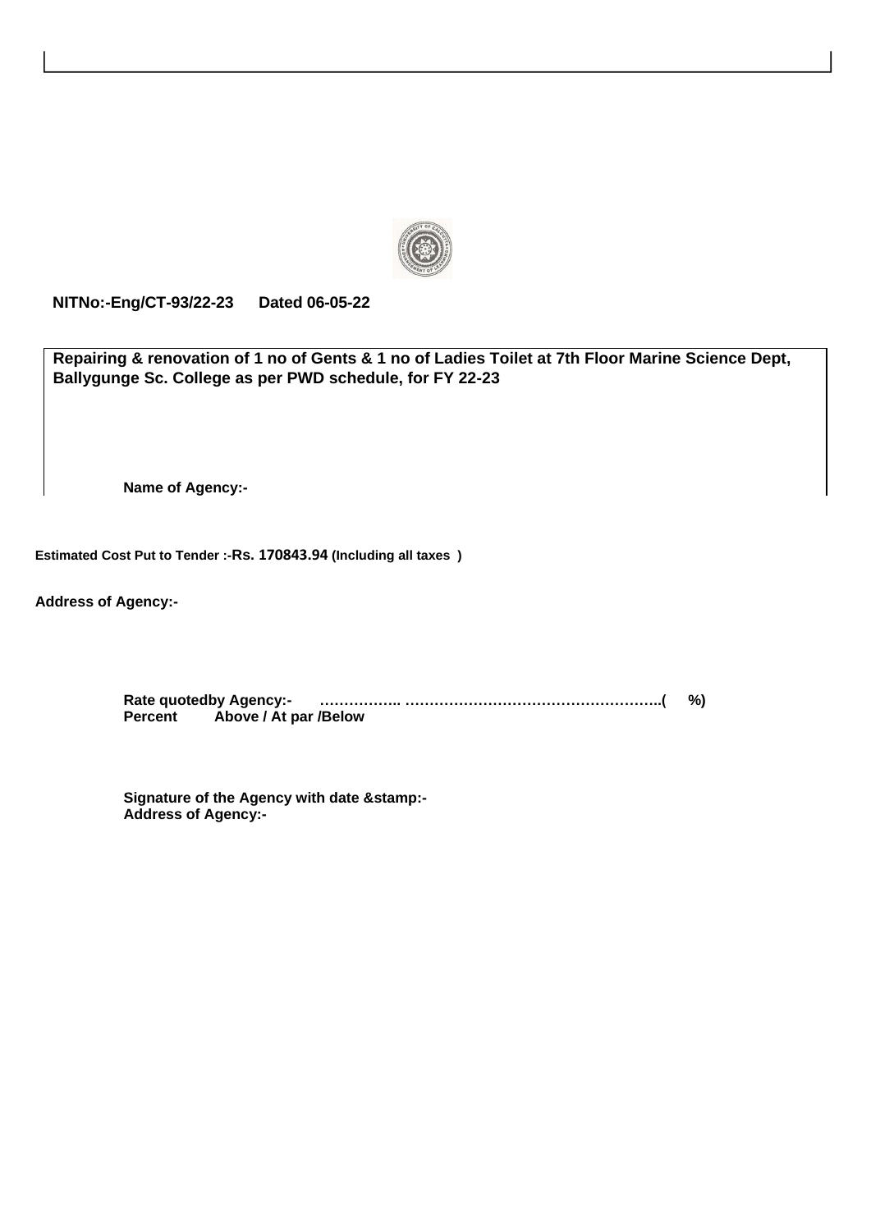

**NITNo:-Eng/CT-93/22-23 Dated 06-05-22**

**Repairing & renovation of 1 no of Gents & 1 no of Ladies Toilet at 7th Floor Marine Science Dept, Ballygunge Sc. College as per PWD schedule, for FY 22-23**

**Name of Agency:-**

**Estimated Cost Put to Tender :-Rs. 170843.94 (Including all taxes )**

**Address of Agency:-**

**Rate quotedby Agency:- …………….. ……………………………………………..( %) Percent Above / At par /Below**

**Signature of the Agency with date &stamp:- Address of Agency:-**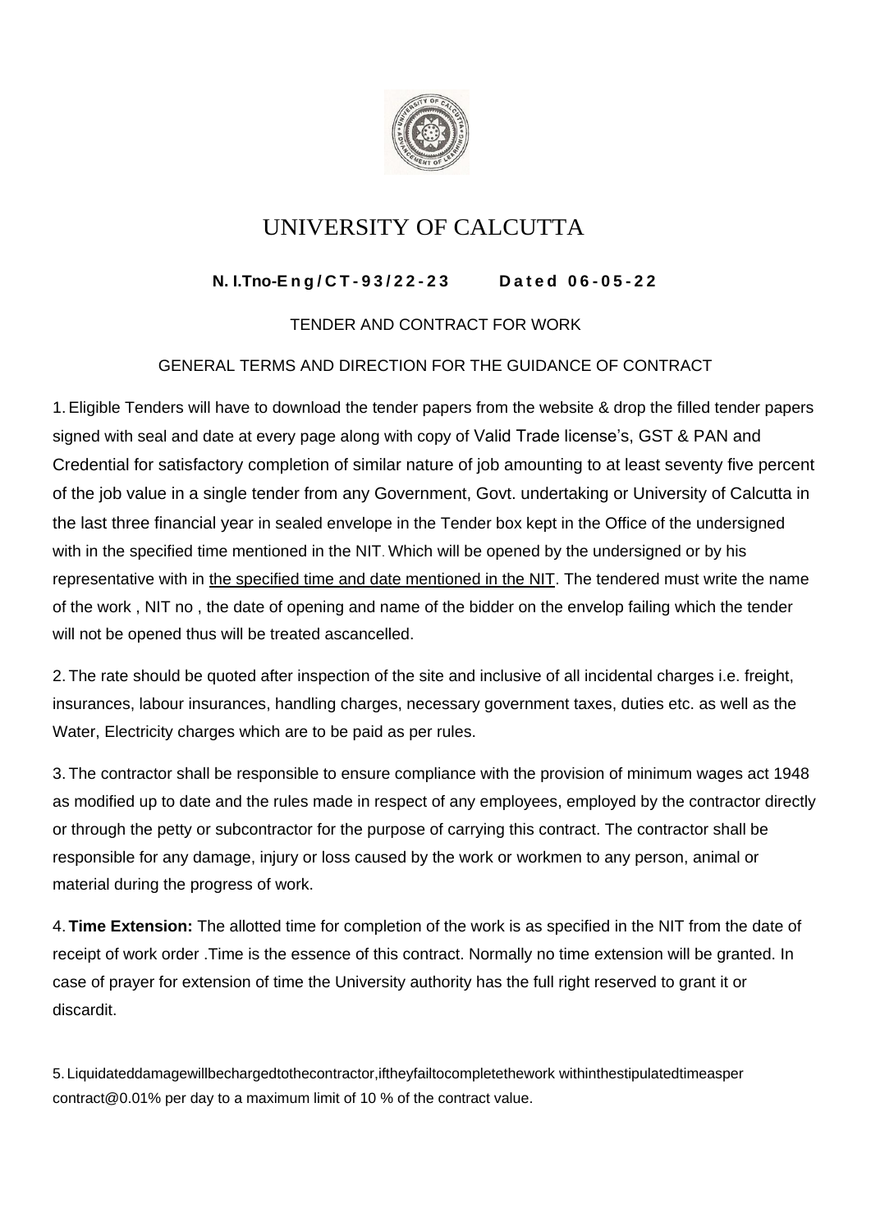

# UNIVERSITY OF CALCUTTA

## **N. I.Tno-E n g / C T - 9 3 / 2 2 - 2 3 D a t e d 0 6 - 0 5 - 2 2**

### TENDER AND CONTRACT FOR WORK

### GENERAL TERMS AND DIRECTION FOR THE GUIDANCE OF CONTRACT

1.Eligible Tenders will have to download the tender papers from the website & drop the filled tender papers signed with seal and date at every page along with copy of Valid Trade license's, GST & PAN and Credential for satisfactory completion of similar nature of job amounting to at least seventy five percent of the job value in a single tender from any Government, Govt. undertaking or University of Calcutta in the last three financial year in sealed envelope in the Tender box kept in the Office of the undersigned with in the specified time mentioned in the NIT. Which will be opened by the undersigned or by his representative with in the specified time and date mentioned in the NIT. The tendered must write the name of the work , NIT no , the date of opening and name of the bidder on the envelop failing which the tender will not be opened thus will be treated ascancelled.

2. The rate should be quoted after inspection of the site and inclusive of all incidental charges i.e. freight, insurances, labour insurances, handling charges, necessary government taxes, duties etc. as well as the Water, Electricity charges which are to be paid as per rules.

3. The contractor shall be responsible to ensure compliance with the provision of minimum wages act 1948 as modified up to date and the rules made in respect of any employees, employed by the contractor directly or through the petty or subcontractor for the purpose of carrying this contract. The contractor shall be responsible for any damage, injury or loss caused by the work or workmen to any person, animal or material during the progress of work.

4. **Time Extension:** The allotted time for completion of the work is as specified in the NIT from the date of receipt of work order .Time is the essence of this contract. Normally no time extension will be granted. In case of prayer for extension of time the University authority has the full right reserved to grant it or discardit.

5. Liquidateddamagewillbechargedtothecontractor,iftheyfailtocompletethework withinthestipulatedtimeasper contract@0.01% per day to a maximum limit of 10 % of the contract value.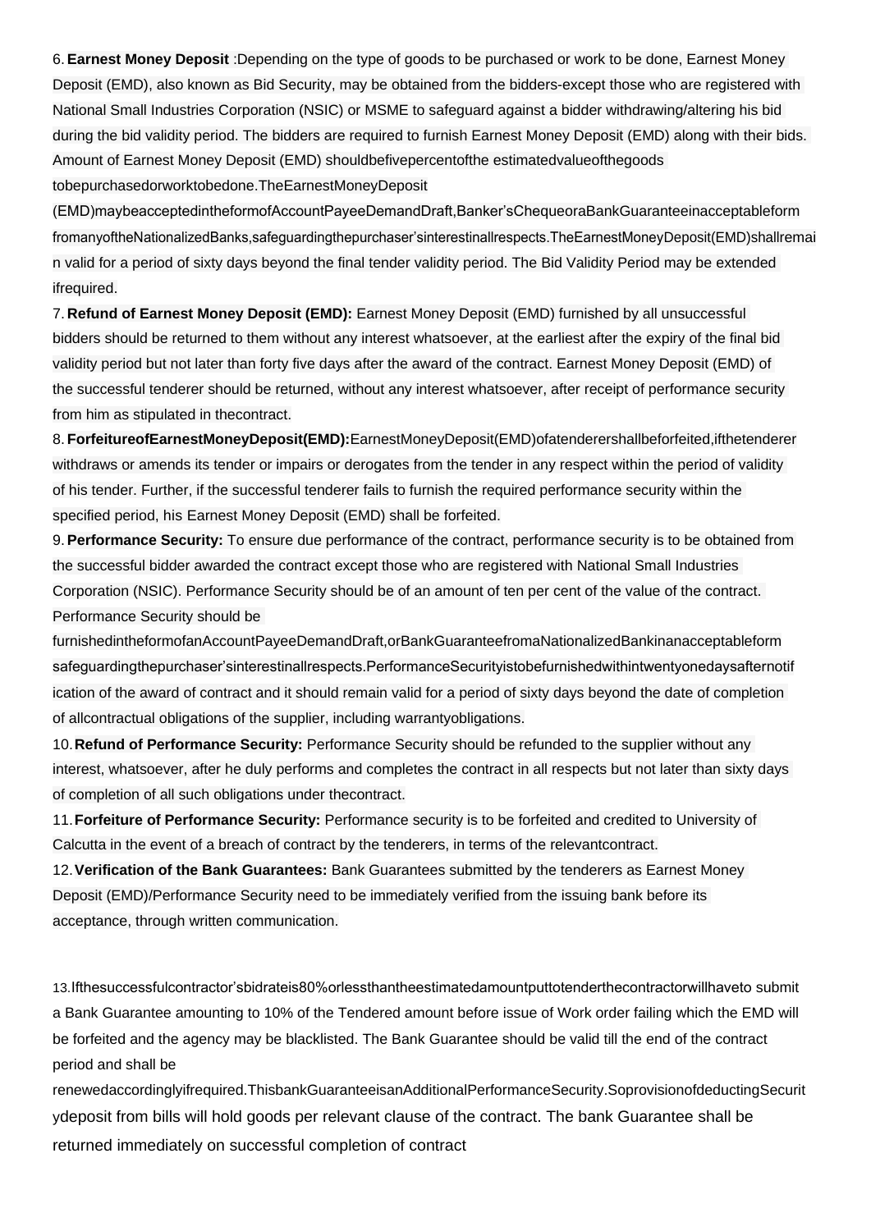6.**Earnest Money Deposit** :Depending on the type of goods to be purchased or work to be done, Earnest Money Deposit (EMD), also known as Bid Security, may be obtained from the bidders-except those who are registered with National Small Industries Corporation (NSIC) or MSME to safeguard against a bidder withdrawing/altering his bid during the bid validity period. The bidders are required to furnish Earnest Money Deposit (EMD) along with their bids. Amount of Earnest Money Deposit (EMD) shouldbefivepercentofthe estimatedvalueofthegoods tobepurchasedorworktobedone.TheEarnestMoneyDeposit

(EMD)maybeacceptedintheformofAccountPayeeDemandDraft,Banker'sChequeoraBankGuaranteeinacceptableform fromanyoftheNationalizedBanks,safeguardingthepurchaser'sinterestinallrespects.TheEarnestMoneyDeposit(EMD)shallremai n valid for a period of sixty days beyond the final tender validity period. The Bid Validity Period may be extended ifrequired.

7. **Refund of Earnest Money Deposit (EMD):** Earnest Money Deposit (EMD) furnished by all unsuccessful bidders should be returned to them without any interest whatsoever, at the earliest after the expiry of the final bid validity period but not later than forty five days after the award of the contract. Earnest Money Deposit (EMD) of the successful tenderer should be returned, without any interest whatsoever, after receipt of performance security from him as stipulated in thecontract.

8. **ForfeitureofEarnestMoneyDeposit(EMD):**EarnestMoneyDeposit(EMD)ofatenderershallbeforfeited,ifthetenderer withdraws or amends its tender or impairs or derogates from the tender in any respect within the period of validity of his tender. Further, if the successful tenderer fails to furnish the required performance security within the specified period, his Earnest Money Deposit (EMD) shall be forfeited.

9.**Performance Security:** To ensure due performance of the contract, performance security is to be obtained from the successful bidder awarded the contract except those who are registered with National Small Industries Corporation (NSIC). Performance Security should be of an amount of ten per cent of the value of the contract. Performance Security should be

furnishedintheformofanAccountPayeeDemandDraft,orBankGuaranteefromaNationalizedBankinanacceptableform safeguardingthepurchaser'sinterestinallrespects.PerformanceSecurityistobefurnishedwithintwentyonedaysafternotif ication of the award of contract and it should remain valid for a period of sixty days beyond the date of completion of allcontractual obligations of the supplier, including warrantyobligations.

10.**Refund of Performance Security:** Performance Security should be refunded to the supplier without any interest, whatsoever, after he duly performs and completes the contract in all respects but not later than sixty days of completion of all such obligations under thecontract.

11.**Forfeiture of Performance Security:** Performance security is to be forfeited and credited to University of Calcutta in the event of a breach of contract by the tenderers, in terms of the relevantcontract.

12.**Verification of the Bank Guarantees:** Bank Guarantees submitted by the tenderers as Earnest Money Deposit (EMD)/Performance Security need to be immediately verified from the issuing bank before its acceptance, through written communication.

13.Ifthesuccessfulcontractor'sbidrateis80%orlessthantheestimatedamountputtotenderthecontractorwillhaveto submit a Bank Guarantee amounting to 10% of the Tendered amount before issue of Work order failing which the EMD will be forfeited and the agency may be blacklisted. The Bank Guarantee should be valid till the end of the contract period and shall be

renewedaccordinglyifrequired.ThisbankGuaranteeisanAdditionalPerformanceSecurity.SoprovisionofdeductingSecurit ydeposit from bills will hold goods per relevant clause of the contract. The bank Guarantee shall be returned immediately on successful completion of contract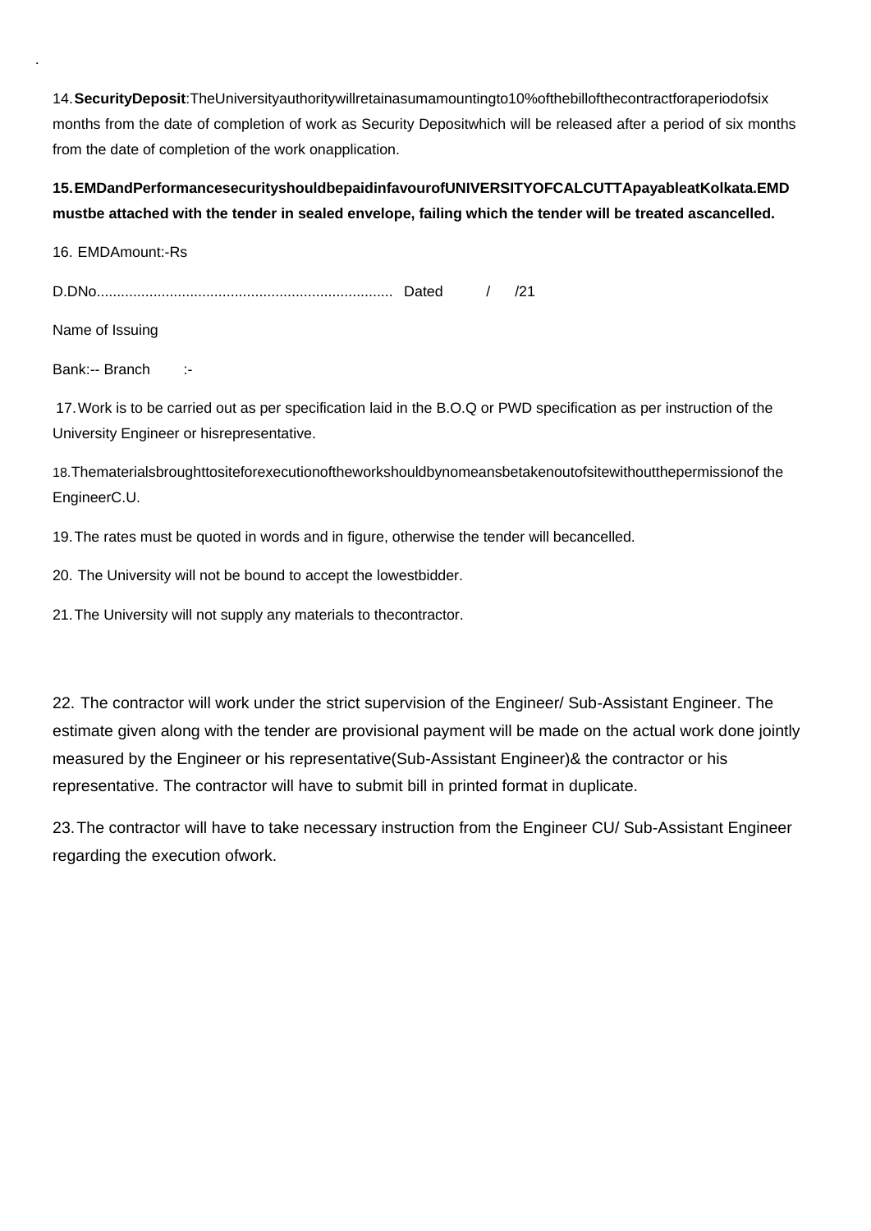14.**SecurityDeposit**:TheUniversityauthoritywillretainasumamountingto10%ofthebillofthecontractforaperiodofsix months from the date of completion of work as Security Depositwhich will be released after a period of six months from the date of completion of the work onapplication.

#### **15.EMDandPerformancesecurityshouldbepaidinfavourofUNIVERSITYOFCALCUTTApayableatKolkata.EMD mustbe attached with the tender in sealed envelope, failing which the tender will be treated ascancelled.**

16. EMDAmount:-Rs

.

D.DNo......................................................................... Dated / /21

Name of Issuing

Bank:-- Branch :-

17.Work is to be carried out as per specification laid in the B.O.Q or PWD specification as per instruction of the University Engineer or hisrepresentative.

18.Thematerialsbroughttositeforexecutionoftheworkshouldbynomeansbetakenoutofsitewithoutthepermissionof the EngineerC.U.

19.The rates must be quoted in words and in figure, otherwise the tender will becancelled.

20. The University will not be bound to accept the lowestbidder.

21.The University will not supply any materials to thecontractor.

22. The contractor will work under the strict supervision of the Engineer/ Sub-Assistant Engineer. The estimate given along with the tender are provisional payment will be made on the actual work done jointly measured by the Engineer or his representative(Sub-Assistant Engineer)& the contractor or his representative. The contractor will have to submit bill in printed format in duplicate.

23.The contractor will have to take necessary instruction from the Engineer CU/ Sub-Assistant Engineer regarding the execution ofwork.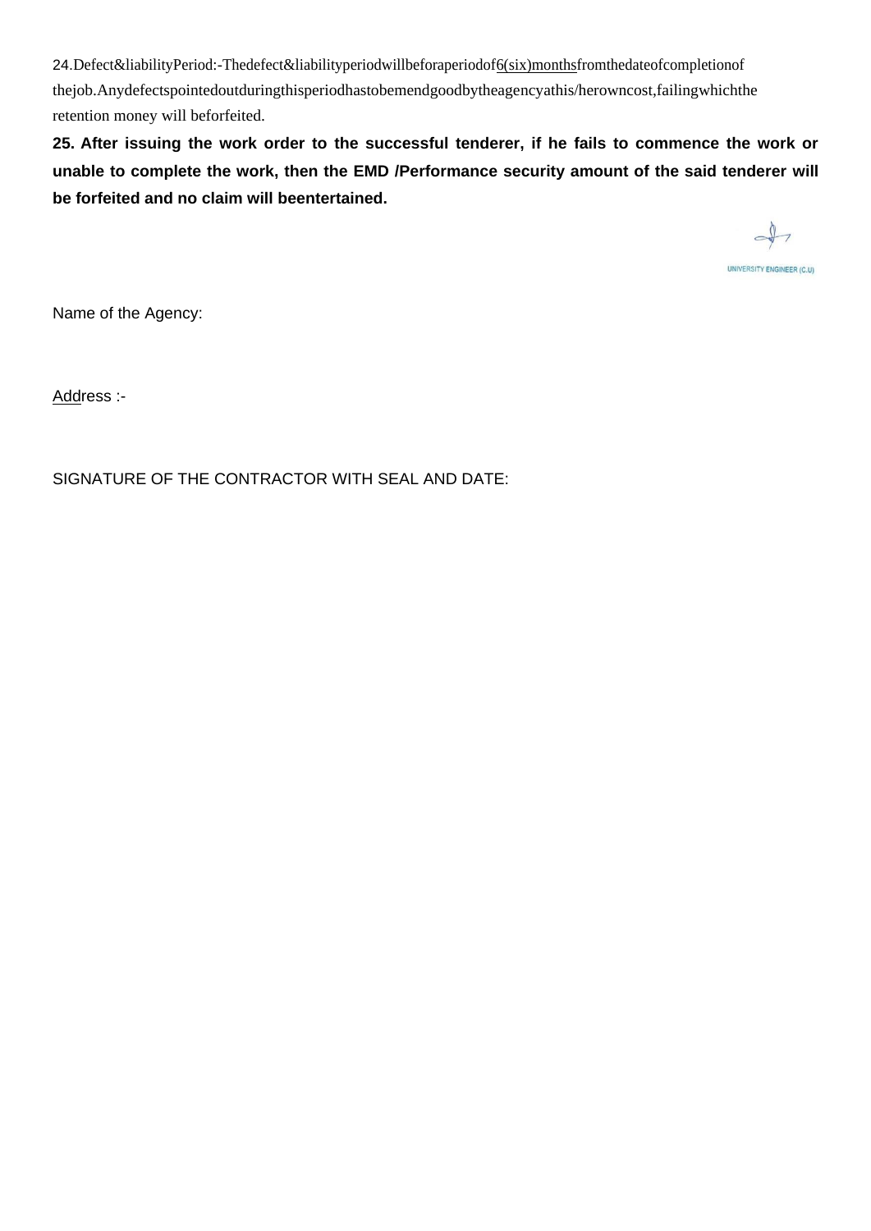24.Defect&liabilityPeriod:-Thedefect&liabilityperiodwillbeforaperiodof6(six)monthsfromthedateofcompletionof thejob.Anydefectspointedoutduringthisperiodhastobemendgoodbytheagencyathis/herowncost,failingwhichthe retention money will beforfeited.

**25. After issuing the work order to the successful tenderer, if he fails to commence the work or unable to complete the work, then the EMD /Performance security amount of the said tenderer will be forfeited and no claim will beentertained.**

 $\rightarrow$ UNIVERSITY ENGINEER (C.U)

Name of the Agency:

Address :-

SIGNATURE OF THE CONTRACTOR WITH SEAL AND DATE: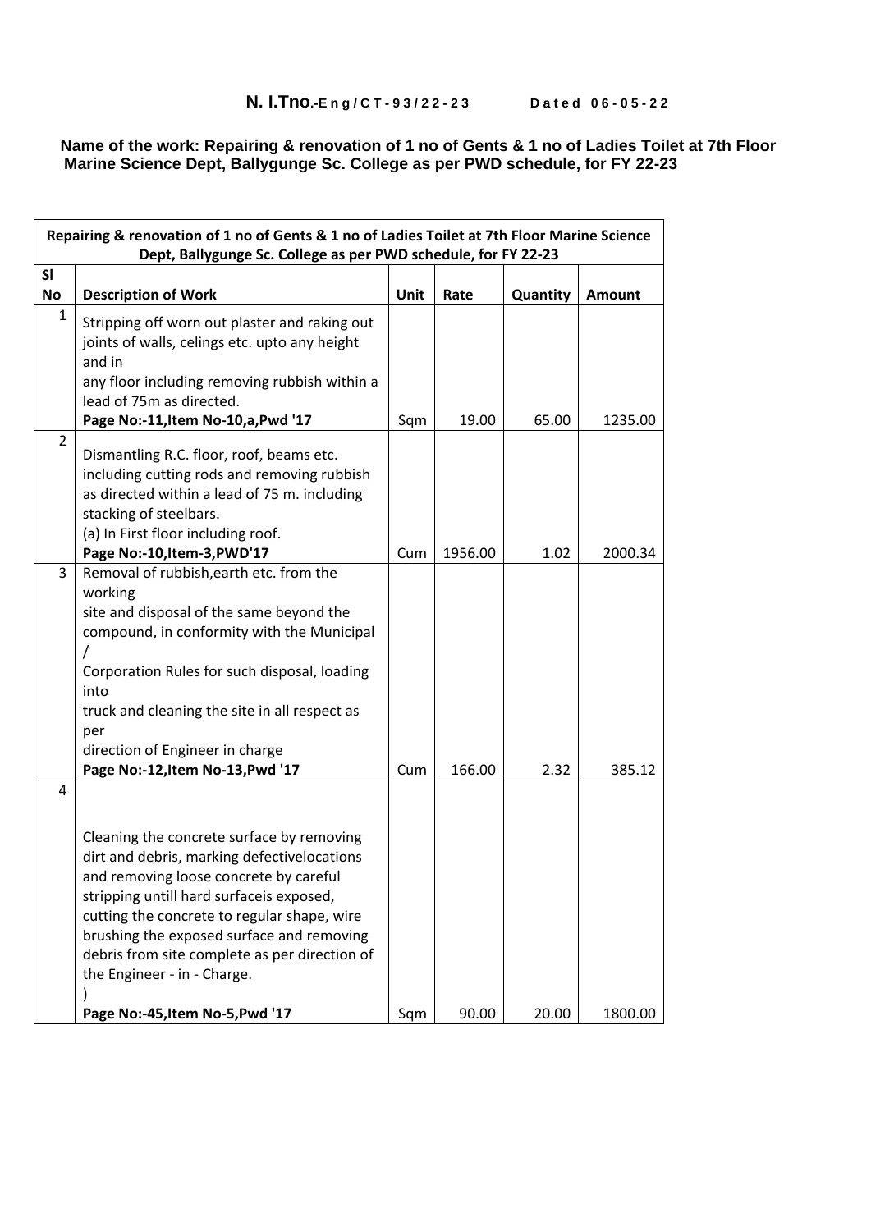#### **Name of the work: Repairing & renovation of 1 no of Gents & 1 no of Ladies Toilet at 7th Floor Marine Science Dept, Ballygunge Sc. College as per PWD schedule, for FY 22-23**

| Repairing & renovation of 1 no of Gents & 1 no of Ladies Toilet at 7th Floor Marine Science<br>Dept, Ballygunge Sc. College as per PWD schedule, for FY 22-23 |                                                                                                                                                                                                                                                                                                                                                            |      |         |          |         |  |
|---------------------------------------------------------------------------------------------------------------------------------------------------------------|------------------------------------------------------------------------------------------------------------------------------------------------------------------------------------------------------------------------------------------------------------------------------------------------------------------------------------------------------------|------|---------|----------|---------|--|
| SI<br><b>No</b>                                                                                                                                               | <b>Description of Work</b>                                                                                                                                                                                                                                                                                                                                 | Unit | Rate    | Quantity | Amount  |  |
| $\mathbf{1}$                                                                                                                                                  | Stripping off worn out plaster and raking out<br>joints of walls, celings etc. upto any height<br>and in<br>any floor including removing rubbish within a<br>lead of 75m as directed.<br>Page No:-11, Item No-10, a, Pwd '17                                                                                                                               | Sqm  | 19.00   | 65.00    | 1235.00 |  |
| $\overline{2}$                                                                                                                                                | Dismantling R.C. floor, roof, beams etc.<br>including cutting rods and removing rubbish<br>as directed within a lead of 75 m. including<br>stacking of steelbars.<br>(a) In First floor including roof.<br>Page No:-10, Item-3, PWD'17                                                                                                                     | Cum  | 1956.00 | 1.02     | 2000.34 |  |
| 3                                                                                                                                                             | Removal of rubbish, earth etc. from the<br>working<br>site and disposal of the same beyond the<br>compound, in conformity with the Municipal<br>Corporation Rules for such disposal, loading<br>into<br>truck and cleaning the site in all respect as<br>per<br>direction of Engineer in charge<br>Page No:-12, Item No-13, Pwd '17                        | Cum  | 166.00  | 2.32     | 385.12  |  |
| 4                                                                                                                                                             | Cleaning the concrete surface by removing<br>dirt and debris, marking defectivelocations<br>and removing loose concrete by careful<br>stripping untill hard surfaceis exposed,<br>cutting the concrete to regular shape, wire<br>brushing the exposed surface and removing<br>debris from site complete as per direction of<br>the Engineer - in - Charge. |      |         |          |         |  |
|                                                                                                                                                               | Page No:-45, Item No-5, Pwd '17                                                                                                                                                                                                                                                                                                                            | Sqm  | 90.00   | 20.00    | 1800.00 |  |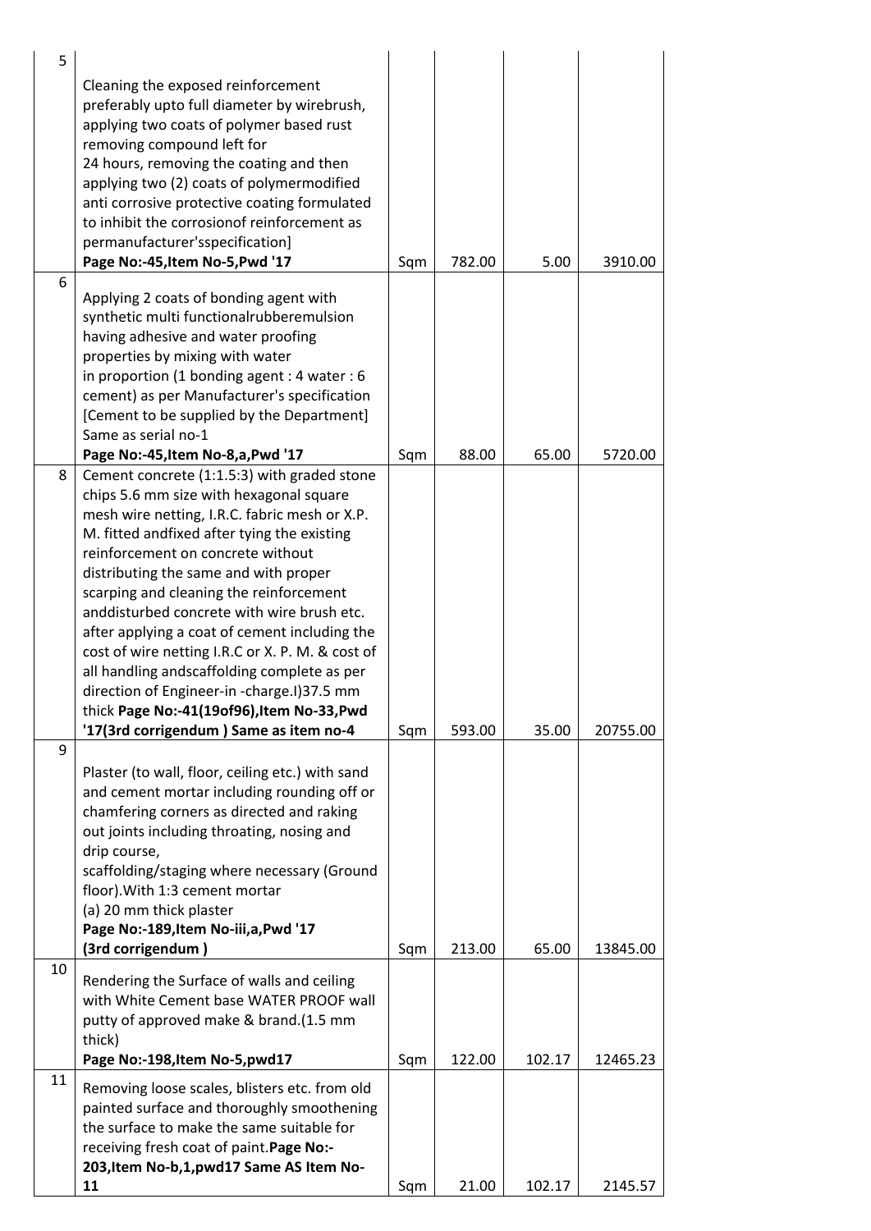| 5  |                                                                                                                                                                                                                                                                                                                                                                                                                                                                                                                                                                                                                                                         |     |        |        |          |
|----|---------------------------------------------------------------------------------------------------------------------------------------------------------------------------------------------------------------------------------------------------------------------------------------------------------------------------------------------------------------------------------------------------------------------------------------------------------------------------------------------------------------------------------------------------------------------------------------------------------------------------------------------------------|-----|--------|--------|----------|
|    | Cleaning the exposed reinforcement<br>preferably upto full diameter by wirebrush,<br>applying two coats of polymer based rust<br>removing compound left for<br>24 hours, removing the coating and then<br>applying two (2) coats of polymermodified<br>anti corrosive protective coating formulated<br>to inhibit the corrosionof reinforcement as<br>permanufacturer'sspecification]<br>Page No:-45, Item No-5, Pwd '17                                                                                                                                                                                                                                | Sqm | 782.00 | 5.00   | 3910.00  |
| 6  | Applying 2 coats of bonding agent with<br>synthetic multi functionalrubberemulsion<br>having adhesive and water proofing<br>properties by mixing with water<br>in proportion (1 bonding agent : 4 water : 6<br>cement) as per Manufacturer's specification<br>[Cement to be supplied by the Department]<br>Same as serial no-1                                                                                                                                                                                                                                                                                                                          |     |        |        |          |
|    | Page No:-45, Item No-8, a, Pwd '17                                                                                                                                                                                                                                                                                                                                                                                                                                                                                                                                                                                                                      | Sqm | 88.00  | 65.00  | 5720.00  |
| 8  | Cement concrete (1:1.5:3) with graded stone<br>chips 5.6 mm size with hexagonal square<br>mesh wire netting, I.R.C. fabric mesh or X.P.<br>M. fitted andfixed after tying the existing<br>reinforcement on concrete without<br>distributing the same and with proper<br>scarping and cleaning the reinforcement<br>anddisturbed concrete with wire brush etc.<br>after applying a coat of cement including the<br>cost of wire netting I.R.C or X. P. M. & cost of<br>all handling andscaffolding complete as per<br>direction of Engineer-in -charge.I)37.5 mm<br>thick Page No:-41(19of96), Item No-33, Pwd<br>'17(3rd corrigendum) Same as item no-4 | Sqm | 593.00 | 35.00  | 20755.00 |
| 9  |                                                                                                                                                                                                                                                                                                                                                                                                                                                                                                                                                                                                                                                         |     |        |        |          |
|    | Plaster (to wall, floor, ceiling etc.) with sand<br>and cement mortar including rounding off or<br>chamfering corners as directed and raking<br>out joints including throating, nosing and<br>drip course,<br>scaffolding/staging where necessary (Ground<br>floor). With 1:3 cement mortar<br>(a) 20 mm thick plaster<br>Page No:-189, Item No-iii, a, Pwd '17<br>(3rd corrigendum)                                                                                                                                                                                                                                                                    | Sqm | 213.00 | 65.00  | 13845.00 |
| 10 |                                                                                                                                                                                                                                                                                                                                                                                                                                                                                                                                                                                                                                                         |     |        |        |          |
|    | Rendering the Surface of walls and ceiling<br>with White Cement base WATER PROOF wall<br>putty of approved make & brand.(1.5 mm<br>thick)<br>Page No:-198, Item No-5, pwd17                                                                                                                                                                                                                                                                                                                                                                                                                                                                             | Sqm | 122.00 | 102.17 | 12465.23 |
| 11 | Removing loose scales, blisters etc. from old<br>painted surface and thoroughly smoothening<br>the surface to make the same suitable for<br>receiving fresh coat of paint. Page No:-<br>203, Item No-b, 1, pwd 17 Same AS Item No-                                                                                                                                                                                                                                                                                                                                                                                                                      |     |        |        |          |
|    | 11                                                                                                                                                                                                                                                                                                                                                                                                                                                                                                                                                                                                                                                      | Sqm | 21.00  | 102.17 | 2145.57  |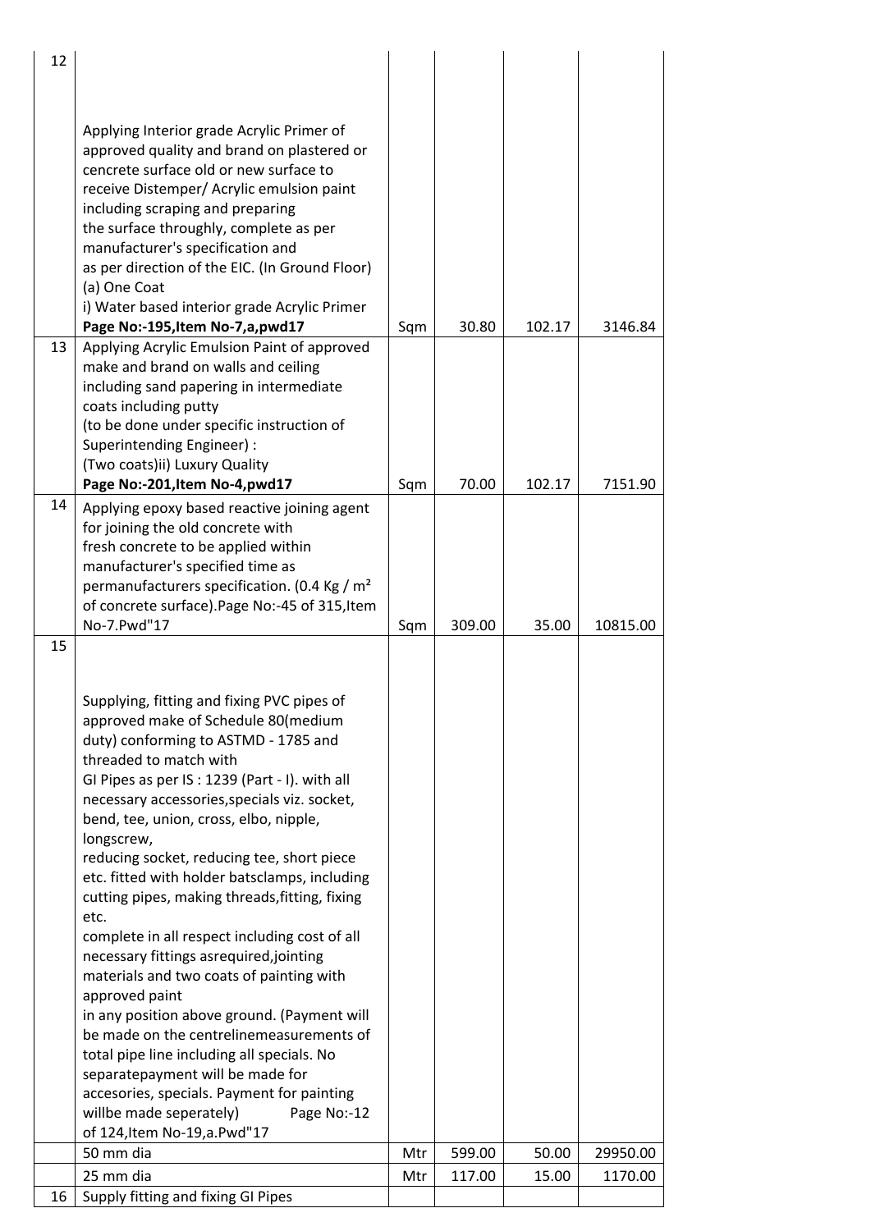| 12 |                                                |     |        |        |          |
|----|------------------------------------------------|-----|--------|--------|----------|
|    |                                                |     |        |        |          |
|    |                                                |     |        |        |          |
|    |                                                |     |        |        |          |
|    | Applying Interior grade Acrylic Primer of      |     |        |        |          |
|    | approved quality and brand on plastered or     |     |        |        |          |
|    | cencrete surface old or new surface to         |     |        |        |          |
|    | receive Distemper/ Acrylic emulsion paint      |     |        |        |          |
|    | including scraping and preparing               |     |        |        |          |
|    | the surface throughly, complete as per         |     |        |        |          |
|    | manufacturer's specification and               |     |        |        |          |
|    | as per direction of the EIC. (In Ground Floor) |     |        |        |          |
|    | (a) One Coat                                   |     |        |        |          |
|    | i) Water based interior grade Acrylic Primer   |     |        |        |          |
|    | Page No:-195, Item No-7, a, pwd17              | Sqm | 30.80  | 102.17 | 3146.84  |
| 13 | Applying Acrylic Emulsion Paint of approved    |     |        |        |          |
|    | make and brand on walls and ceiling            |     |        |        |          |
|    | including sand papering in intermediate        |     |        |        |          |
|    | coats including putty                          |     |        |        |          |
|    | (to be done under specific instruction of      |     |        |        |          |
|    | Superintending Engineer) :                     |     |        |        |          |
|    | (Two coats)ii) Luxury Quality                  |     |        |        |          |
|    | Page No:-201, Item No-4, pwd17                 | Sqm | 70.00  | 102.17 | 7151.90  |
| 14 | Applying epoxy based reactive joining agent    |     |        |        |          |
|    | for joining the old concrete with              |     |        |        |          |
|    | fresh concrete to be applied within            |     |        |        |          |
|    | manufacturer's specified time as               |     |        |        |          |
|    | permanufacturers specification. (0.4 Kg / $m2$ |     |        |        |          |
|    | of concrete surface). Page No:-45 of 315, Item |     |        |        |          |
|    | No-7.Pwd"17                                    | Sqm | 309.00 | 35.00  | 10815.00 |
| 15 |                                                |     |        |        |          |
|    |                                                |     |        |        |          |
|    |                                                |     |        |        |          |
|    | Supplying, fitting and fixing PVC pipes of     |     |        |        |          |
|    | approved make of Schedule 80(medium            |     |        |        |          |
|    | duty) conforming to ASTMD - 1785 and           |     |        |        |          |
|    | threaded to match with                         |     |        |        |          |
|    | GI Pipes as per IS: 1239 (Part - I). with all  |     |        |        |          |
|    | necessary accessories, specials viz. socket,   |     |        |        |          |
|    | bend, tee, union, cross, elbo, nipple,         |     |        |        |          |
|    | longscrew,                                     |     |        |        |          |
|    | reducing socket, reducing tee, short piece     |     |        |        |          |
|    | etc. fitted with holder batsclamps, including  |     |        |        |          |
|    | cutting pipes, making threads, fitting, fixing |     |        |        |          |
|    | etc.                                           |     |        |        |          |
|    | complete in all respect including cost of all  |     |        |        |          |
|    | necessary fittings asrequired, jointing        |     |        |        |          |
|    | materials and two coats of painting with       |     |        |        |          |
|    | approved paint                                 |     |        |        |          |
|    | in any position above ground. (Payment will    |     |        |        |          |
|    | be made on the centrelinemeasurements of       |     |        |        |          |
|    | total pipe line including all specials. No     |     |        |        |          |
|    | separatepayment will be made for               |     |        |        |          |
|    | accesories, specials. Payment for painting     |     |        |        |          |
|    | willbe made seperately)<br>Page No:-12         |     |        |        |          |
|    | of 124, Item No-19, a. Pwd"17                  |     |        |        |          |
|    | 50 mm dia                                      | Mtr | 599.00 | 50.00  | 29950.00 |
|    |                                                |     |        |        |          |
|    | 25 mm dia                                      | Mtr | 117.00 | 15.00  | 1170.00  |